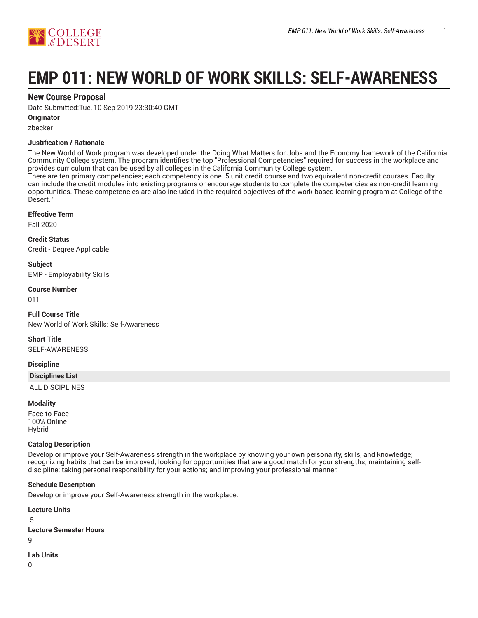

# **EMP 011: NEW WORLD OF WORK SKILLS: SELF-AWARENESS**

# **New Course Proposal**

Date Submitted:Tue, 10 Sep 2019 23:30:40 GMT

# **Originator**

zbecker

# **Justification / Rationale**

The New World of Work program was developed under the Doing What Matters for Jobs and the Economy framework of the California Community College system. The program identifies the top "Professional Competencies" required for success in the workplace and provides curriculum that can be used by all colleges in the California Community College system.

There are ten primary competencies; each competency is one .5 unit credit course and two equivalent non-credit courses. Faculty can include the credit modules into existing programs or encourage students to complete the competencies as non-credit learning opportunities. These competencies are also included in the required objectives of the work-based learning program at College of the Desert. "

# **Effective Term**

Fall 2020

**Credit Status** Credit - Degree Applicable

**Subject** EMP - Employability Skills

# **Course Number**

011

**Full Course Title** New World of Work Skills: Self-Awareness

**Short Title** SELF-AWARENESS

# **Discipline**

# **Disciplines List**

ALL DISCIPLINES

# **Modality**

Face-to-Face 100% Online Hybrid

# **Catalog Description**

Develop or improve your Self-Awareness strength in the workplace by knowing your own personality, skills, and knowledge; recognizing habits that can be improved; looking for opportunities that are a good match for your strengths; maintaining selfdiscipline; taking personal responsibility for your actions; and improving your professional manner.

# **Schedule Description**

Develop or improve your Self-Awareness strength in the workplace.

**Lecture Units** .5 **Lecture Semester Hours**  $\alpha$ **Lab Units**

 $\Omega$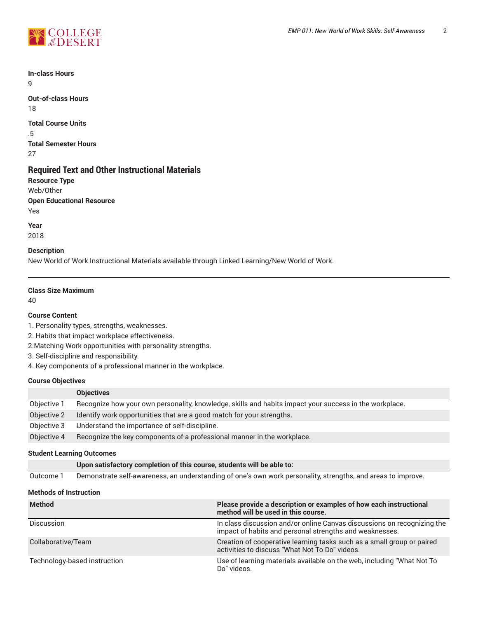

**In-class Hours** 9

**Out-of-class Hours** 18

**Total Course Units** .5 **Total Semester Hours** 27

# **Required Text and Other Instructional Materials**

**Resource Type** Web/Other **Open Educational Resource** Yes

**Year** 2018

# **Description**

New World of Work Instructional Materials available through Linked Learning/New World of Work.

# **Class Size Maximum**

40

# **Course Content**

1. Personality types, strengths, weaknesses.

2. Habits that impact workplace effectiveness.

2.Matching Work opportunities with personality strengths.

3. Self-discipline and responsibility.

4. Key components of a professional manner in the workplace.

# **Course Objectives**

|             | <b>Objectives</b>                                                                                      |
|-------------|--------------------------------------------------------------------------------------------------------|
| Objective 1 | Recognize how your own personality, knowledge, skills and habits impact your success in the workplace. |
| Objective 2 | Identify work opportunities that are a good match for your strengths.                                  |
| Objective 3 | Understand the importance of self-discipline.                                                          |
| Objective 4 | Recognize the key components of a professional manner in the workplace.                                |

# **Student Learning Outcomes**

| Upon satisfactory completion of this course, students will be able to: |  |
|------------------------------------------------------------------------|--|
|------------------------------------------------------------------------|--|

Outcome 1 Demonstrate self-awareness, an understanding of one's own work personality, strengths, and areas to improve.

# **Methods of Instruction**

| <b>Method</b>                | Please provide a description or examples of how each instructional<br>method will be used in this course.                          |
|------------------------------|------------------------------------------------------------------------------------------------------------------------------------|
| <b>Discussion</b>            | In class discussion and/or online Canvas discussions on recognizing the<br>impact of habits and personal strengths and weaknesses. |
| Collaborative/Team           | Creation of cooperative learning tasks such as a small group or paired<br>activities to discuss "What Not To Do" videos.           |
| Technology-based instruction | Use of learning materials available on the web, including "What Not To<br>Do" videos.                                              |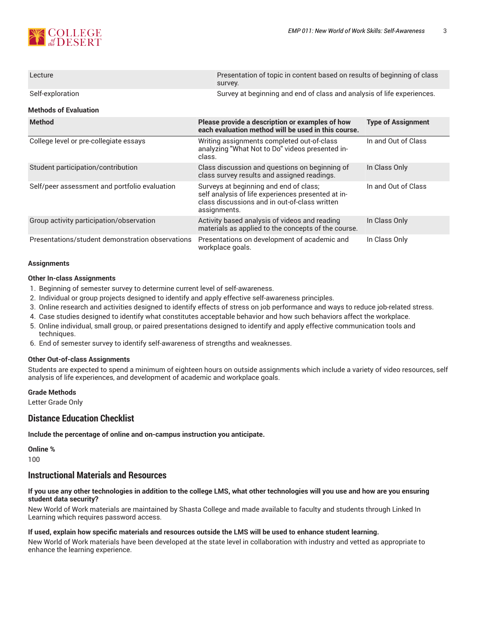

| Lecture                                          | Presentation of topic in content based on results of beginning of class<br>survey.                                                                            |                                                                        |  |  |  |  |
|--------------------------------------------------|---------------------------------------------------------------------------------------------------------------------------------------------------------------|------------------------------------------------------------------------|--|--|--|--|
| Self-exploration                                 |                                                                                                                                                               | Survey at beginning and end of class and analysis of life experiences. |  |  |  |  |
| <b>Methods of Evaluation</b>                     |                                                                                                                                                               |                                                                        |  |  |  |  |
| <b>Method</b>                                    | Please provide a description or examples of how<br>each evaluation method will be used in this course.                                                        | <b>Type of Assignment</b>                                              |  |  |  |  |
| College level or pre-collegiate essays           | Writing assignments completed out-of-class<br>analyzing "What Not to Do" videos presented in-<br>class.                                                       | In and Out of Class                                                    |  |  |  |  |
| Student participation/contribution               | Class discussion and questions on beginning of<br>class survey results and assigned readings.                                                                 | In Class Only                                                          |  |  |  |  |
| Self/peer assessment and portfolio evaluation    | Surveys at beginning and end of class;<br>self analysis of life experiences presented at in-<br>class discussions and in out-of-class written<br>assignments. | In and Out of Class                                                    |  |  |  |  |
| Group activity participation/observation         | Activity based analysis of videos and reading<br>materials as applied to the concepts of the course.                                                          | In Class Only                                                          |  |  |  |  |
| Presentations/student demonstration observations | Presentations on development of academic and<br>workplace goals.                                                                                              | In Class Only                                                          |  |  |  |  |

#### **Assignments**

#### **Other In-class Assignments**

- 1. Beginning of semester survey to determine current level of self-awareness.
- 2. Individual or group projects designed to identify and apply effective self-awareness principles.
- 3. Online research and activities designed to identify effects of stress on job performance and ways to reduce job-related stress.
- 4. Case studies designed to identify what constitutes acceptable behavior and how such behaviors affect the workplace.
- 5. Online individual, small group, or paired presentations designed to identify and apply effective communication tools and techniques.
- 6. End of semester survey to identify self-awareness of strengths and weaknesses.

#### **Other Out-of-class Assignments**

Students are expected to spend a minimum of eighteen hours on outside assignments which include a variety of video resources, self analysis of life experiences, and development of academic and workplace goals.

# **Grade Methods**

Letter Grade Only

# **Distance Education Checklist**

**Include the percentage of online and on-campus instruction you anticipate.**

**Online %** 100

# **Instructional Materials and Resources**

# If you use any other technologies in addition to the college LMS, what other technologies will you use and how are you ensuring **student data security?**

New World of Work materials are maintained by Shasta College and made available to faculty and students through Linked In Learning which requires password access.

# **If used, explain how specific materials and resources outside the LMS will be used to enhance student learning.**

New World of Work materials have been developed at the state level in collaboration with industry and vetted as appropriate to enhance the learning experience.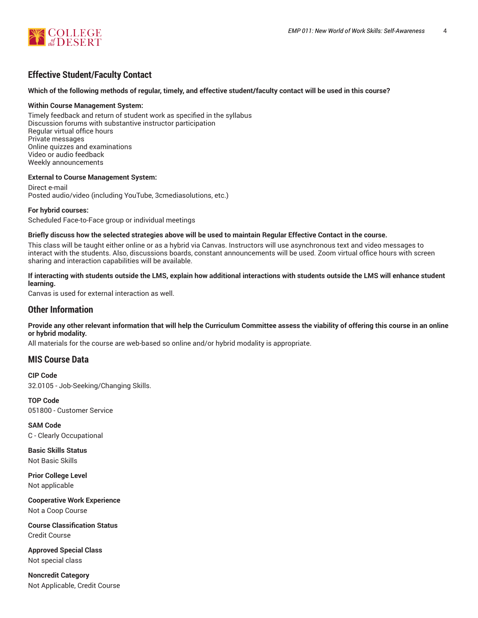

# **Effective Student/Faculty Contact**

# Which of the following methods of regular, timely, and effective student/faculty contact will be used in this course?

#### **Within Course Management System:**

Timely feedback and return of student work as specified in the syllabus Discussion forums with substantive instructor participation Regular virtual office hours Private messages Online quizzes and examinations Video or audio feedback Weekly announcements

#### **External to Course Management System:**

Direct e-mail Posted audio/video (including YouTube, 3cmediasolutions, etc.)

#### **For hybrid courses:**

Scheduled Face-to-Face group or individual meetings

#### Briefly discuss how the selected strategies above will be used to maintain Regular Effective Contact in the course.

This class will be taught either online or as a hybrid via Canvas. Instructors will use asynchronous text and video messages to interact with the students. Also, discussions boards, constant announcements will be used. Zoom virtual office hours with screen sharing and interaction capabilities will be available.

# **If interacting with students outside the LMS, explain how additional interactions with students outside the LMS will enhance student learning.**

Canvas is used for external interaction as well.

# **Other Information**

Provide any other relevant information that will help the Curriculum Committee assess the viability of offering this course in an online **or hybrid modality.**

All materials for the course are web-based so online and/or hybrid modality is appropriate.

# **MIS Course Data**

**CIP Code** 32.0105 - Job-Seeking/Changing Skills.

**TOP Code** 051800 - Customer Service

**SAM Code** C - Clearly Occupational

**Basic Skills Status** Not Basic Skills

**Prior College Level** Not applicable

**Cooperative Work Experience** Not a Coop Course

**Course Classification Status** Credit Course

**Approved Special Class** Not special class

**Noncredit Category** Not Applicable, Credit Course